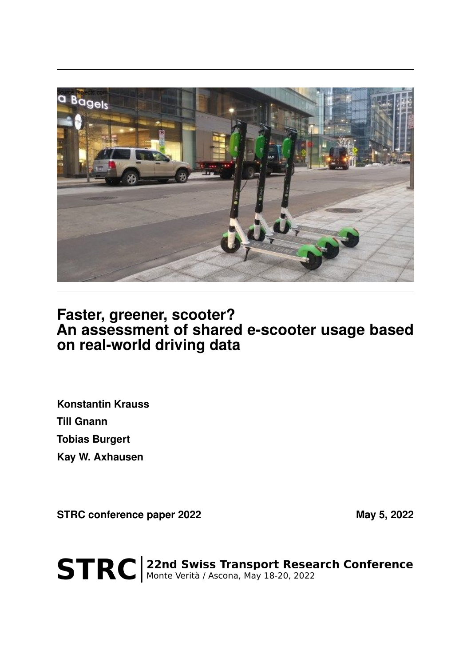

## **Faster, greener, scooter? An assessment of shared e-scooter usage based on real-world driving data**

**Konstantin Krauss Till Gnann Tobias Burgert Kay W. Axhausen**

STRC conference paper 2022 May 5, 2022

STRC | 22nd Swiss Transport Research Conference